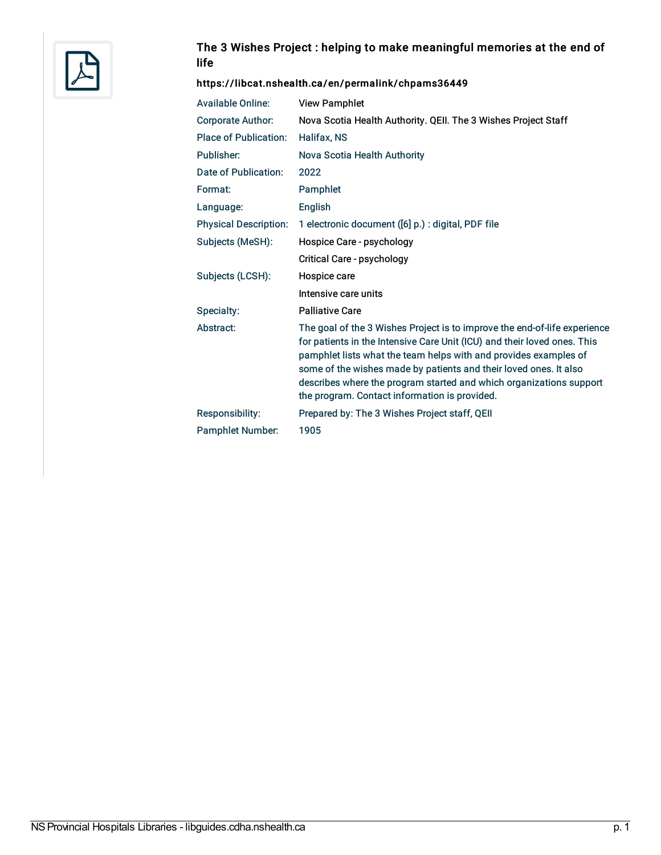

## The 3 Wishes Project : helping to make meaningful memories at the end of life

#### <https://libcat.nshealth.ca/en/permalink/chpams36449>

| <b>Available Online:</b>     | <b>View Pamphlet</b>                                                                                                                                                                                                                                                                                                                                                                                                   |
|------------------------------|------------------------------------------------------------------------------------------------------------------------------------------------------------------------------------------------------------------------------------------------------------------------------------------------------------------------------------------------------------------------------------------------------------------------|
| <b>Corporate Author:</b>     | Nova Scotia Health Authority. QEII. The 3 Wishes Project Staff                                                                                                                                                                                                                                                                                                                                                         |
| <b>Place of Publication:</b> | Halifax, NS                                                                                                                                                                                                                                                                                                                                                                                                            |
| Publisher:                   | Nova Scotia Health Authority                                                                                                                                                                                                                                                                                                                                                                                           |
| Date of Publication:         | 2022                                                                                                                                                                                                                                                                                                                                                                                                                   |
| Format:                      | Pamphlet                                                                                                                                                                                                                                                                                                                                                                                                               |
| Language:                    | <b>English</b>                                                                                                                                                                                                                                                                                                                                                                                                         |
| <b>Physical Description:</b> | 1 electronic document ([6] p.) : digital, PDF file                                                                                                                                                                                                                                                                                                                                                                     |
| Subjects (MeSH):             | Hospice Care - psychology                                                                                                                                                                                                                                                                                                                                                                                              |
|                              | Critical Care - psychology                                                                                                                                                                                                                                                                                                                                                                                             |
| Subjects (LCSH):             | Hospice care                                                                                                                                                                                                                                                                                                                                                                                                           |
|                              | Intensive care units                                                                                                                                                                                                                                                                                                                                                                                                   |
| Specialty:                   | <b>Palliative Care</b>                                                                                                                                                                                                                                                                                                                                                                                                 |
| Abstract:                    | The goal of the 3 Wishes Project is to improve the end-of-life experience<br>for patients in the Intensive Care Unit (ICU) and their loved ones. This<br>pamphlet lists what the team helps with and provides examples of<br>some of the wishes made by patients and their loved ones. It also<br>describes where the program started and which organizations support<br>the program. Contact information is provided. |
| Responsibility:              | Prepared by: The 3 Wishes Project staff, QEII                                                                                                                                                                                                                                                                                                                                                                          |
| <b>Pamphlet Number:</b>      | 1905                                                                                                                                                                                                                                                                                                                                                                                                                   |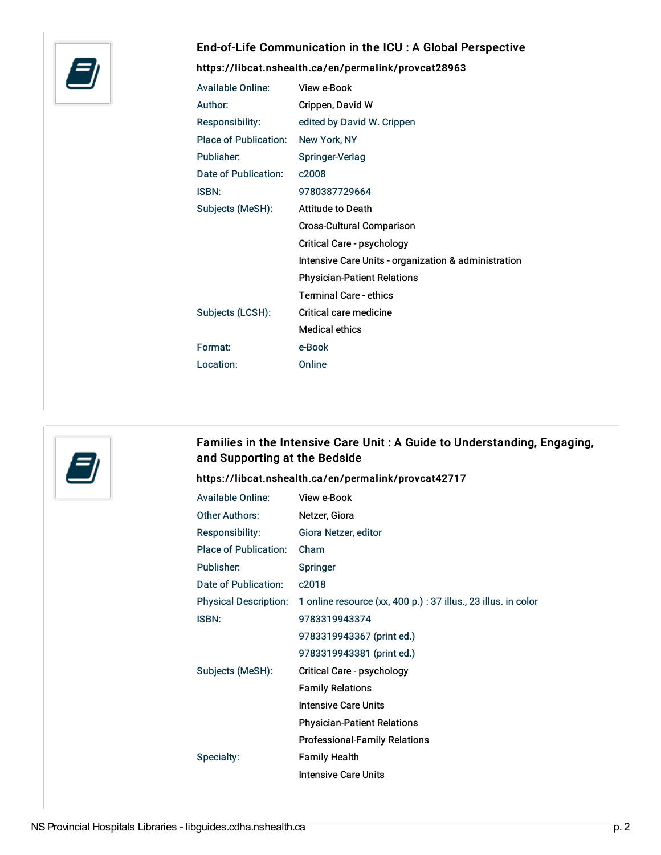

## End-of-Life Communication in the ICU : A Global Perspective

<https://libcat.nshealth.ca/en/permalink/provcat28963>

| <b>Available Online:</b>     | View e-Book                                          |
|------------------------------|------------------------------------------------------|
| Author:                      | Crippen, David W                                     |
| Responsibility:              | edited by David W. Crippen                           |
| <b>Place of Publication:</b> | New York, NY                                         |
| Publisher:                   | Springer-Verlag                                      |
| Date of Publication:         | c2008                                                |
| <b>ISBN:</b>                 | 9780387729664                                        |
| Subjects (MeSH):             | <b>Attitude to Death</b>                             |
|                              | <b>Cross-Cultural Comparison</b>                     |
|                              | Critical Care - psychology                           |
|                              | Intensive Care Units - organization & administration |
|                              | <b>Physician-Patient Relations</b>                   |
|                              | <b>Terminal Care - ethics</b>                        |
| Subjects (LCSH):             | Critical care medicine                               |
|                              | <b>Medical ethics</b>                                |
| Format:                      | e-Book                                               |
| Location:                    | Online                                               |



# Families in the Intensive Care Unit : A Guide to Understanding, Engaging, and Supporting at the Bedside

#### <https://libcat.nshealth.ca/en/permalink/provcat42717>

| <b>Available Online:</b>     | View e-Book                                                    |
|------------------------------|----------------------------------------------------------------|
| <b>Other Authors:</b>        | Netzer, Giora                                                  |
| <b>Responsibility:</b>       | Giora Netzer, editor                                           |
| <b>Place of Publication:</b> | Cham                                                           |
| Publisher:                   | Springer                                                       |
| Date of Publication:         | c2018                                                          |
| <b>Physical Description:</b> | 1 online resource (xx, 400 p.) : 37 illus., 23 illus. in color |
| <b>ISBN:</b>                 | 9783319943374                                                  |
|                              | 9783319943367 (print ed.)                                      |
|                              | 9783319943381 (print ed.)                                      |
| Subjects (MeSH):             | Critical Care - psychology                                     |
|                              | <b>Family Relations</b>                                        |
|                              | <b>Intensive Care Units</b>                                    |
|                              | <b>Physician-Patient Relations</b>                             |
|                              | <b>Professional-Family Relations</b>                           |
| Specialty:                   | <b>Family Health</b>                                           |
|                              | <b>Intensive Care Units</b>                                    |